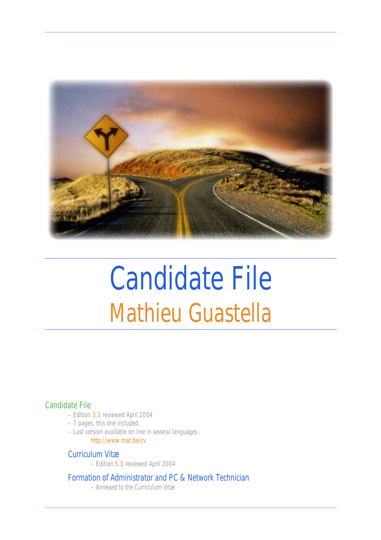

# Candidate File Mathieu Guastella

#### Candidate File

- Edition 3.3 reviewed April 2004
- 7 pages, this one included.
- Last version available on line in several languages : http://www.mat.be/cv

#### Curriculum Vitæ

– Edition 5.3 reviewed April 2004

Formation of Administrator and PC & Network Technician

– Annexed to the Curriculum Vitæ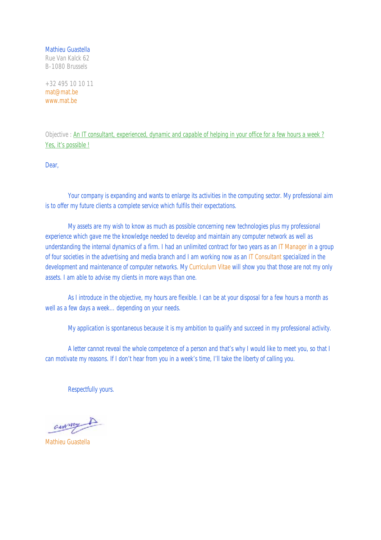Mathieu Guastella Rue Van Kalck 62 B-1080 Brussels

+32 495 10 10 11 mat@mat.be www.mat.be

Objective : An IT consultant, experienced, dynamic and capable of helping in your office for a few hours a week ? Yes, it's possible !

Dear,

Your company is expanding and wants to enlarge its activities in the computing sector. My professional aim is to offer my future clients a complete service which fulfils their expectations.

 My assets are my wish to know as much as possible concerning new technologies plus my professional experience which gave me the knowledge needed to develop and maintain any computer network as well as understanding the internal dynamics of a firm. I had an unlimited contract for two years as an IT Manager in a group of four societies in the advertising and media branch and I am working now as an IT Consultant specialized in the development and maintenance of computer networks. My Curriculum Vitae will show you that those are not my only assets. I am able to advise my clients in more ways than one.

As I introduce in the objective, my hours are flexible. I can be at your disposal for a few hours a month as well as a few days a week…depending on your needs.

My application is spontaneous because it is my ambition to qualify and succeed in my professional activity.

 A letter cannot reveal the whole competence of a person and that's why I would like to meet you, so that I can motivate my reasons. If I don't hear from you in a week's time, I'll take the liberty of calling you.

Respectfully yours.

auxy A

Mathieu Guastella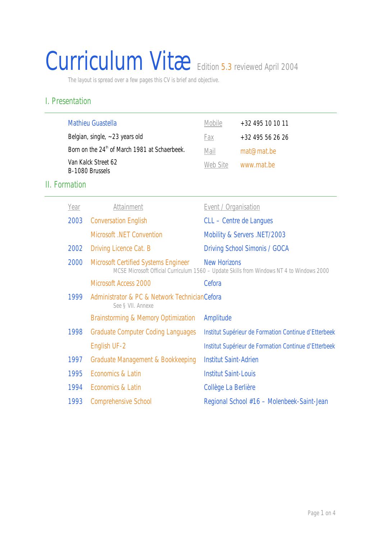# Curriculum Vitæ Edition 5.3 reviewed April 2004

The layout is spread over a few pages this CV is brief and objective.

### I. Presentation

| <b>Mathieu Guastella</b>                                  | Mobile   | $+32$ 495 10 10 11 |
|-----------------------------------------------------------|----------|--------------------|
| Belgian, single, $\sim$ 23 years old                      | Fax      | $+32$ 495 56 26 26 |
| Born on the 24 <sup>th</sup> of March 1981 at Schaerbeek. | Mail     | mat@mat.be         |
| Van Kalck Street 62<br>B-1080 Brussels                    | Web Site | www.mat.be         |

# II. Formation

| Year | Attainment                                                          | Event / Organisation                                                                                             |
|------|---------------------------------------------------------------------|------------------------------------------------------------------------------------------------------------------|
| 2003 | <b>Conversation English</b>                                         | CLL - Centre de Langues                                                                                          |
|      | <b>Microsoft</b> .NET Convention                                    | Mobility & Servers .NET/2003                                                                                     |
| 2002 | Driving Licence Cat. B                                              | <b>Driving School Simonis / GOCA</b>                                                                             |
| 2000 | <b>Microsoft Certified Systems Engineer</b>                         | <b>New Horizons</b><br>MCSE Microsoft Official Curriculum 1560 - Update Skills from Windows NT 4 to Windows 2000 |
|      | <b>Microsoft Access 2000</b>                                        | Cefora                                                                                                           |
| 1999 | Administrator & PC & Network Technician Cefora<br>See § VII. Annexe |                                                                                                                  |
|      | Brainstorming & Memory Optimization                                 | Amplitude                                                                                                        |
| 1998 | <b>Graduate Computer Coding Languages</b>                           | Institut Supérieur de Formation Continue d'Etterbeek                                                             |
|      | English UF-2                                                        | Institut Supérieur de Formation Continue d'Etterbeek                                                             |
| 1997 | Graduate Management & Bookkeeping                                   | <b>Institut Saint-Adrien</b>                                                                                     |
| 1995 | Economics & Latin                                                   | <b>Institut Saint-Louis</b>                                                                                      |
| 1994 | Economics & Latin                                                   | Collège La Berlière                                                                                              |
| 1993 | <b>Comprehensive School</b>                                         | Regional School #16 - Molenbeek-Saint-Jean                                                                       |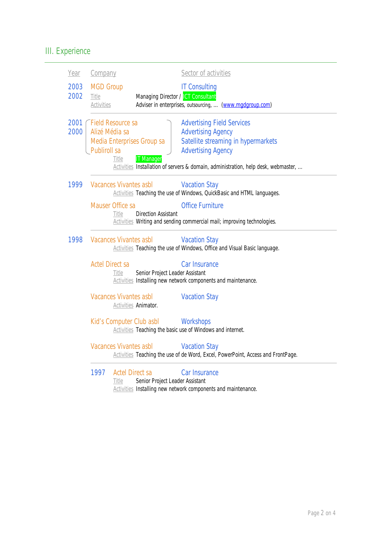# III. Experience

| Year         | Company                                                           |                                 |                                                 | Sector of activities                                                                                                                                                                                                     |
|--------------|-------------------------------------------------------------------|---------------------------------|-------------------------------------------------|--------------------------------------------------------------------------------------------------------------------------------------------------------------------------------------------------------------------------|
| 2003<br>2002 | <b>MGD Group</b><br>Title<br><b>Activities</b>                    |                                 | Managing Director / ICT Consultant              | <b>IT Consulting</b><br>Adviser in enterprises, outsourcing,  (www.madaroup.com)                                                                                                                                         |
| 2001<br>2000 | <b>Field Resource sa</b><br>Alizé Média sa<br><b>Publiroll sa</b> | Title                           | Media Enterprises Group sa<br><b>IT Manager</b> | <b>Advertising Field Services</b><br><b>Advertising Agency</b><br>Satellite streaming in hypermarkets<br><b>Advertising Agency</b><br>Activities Installation of servers & domain, administration, help desk, webmaster, |
| 1999         | <b>Vacances Vivantes asbl</b><br>Mauser Office sa                 | Title                           | <b>Direction Assistant</b>                      | <b>Vacation Stay</b><br>Activities Teaching the use of Windows, QuickBasic and HTML languages.<br><b>Office Furniture</b><br>Activities Writing and sending commercial mail; improving technologies.                     |
| 1998         | <b>Vacances Vivantes asbl</b>                                     |                                 |                                                 | <b>Vacation Stay</b><br>Activities Teaching the use of Windows, Office and Visual Basic language.                                                                                                                        |
|              | <b>Actel Direct sa</b>                                            | Title                           | Senior Project Leader Assistant                 | Car Insurance<br>Activities Installing new network components and maintenance.                                                                                                                                           |
|              | <b>Vacances Vivantes asbl</b>                                     |                                 | <b>Activities Animator.</b>                     | <b>Vacation Stay</b>                                                                                                                                                                                                     |
|              |                                                                   |                                 | Kid's Computer Club asbl                        | Workshops<br>Activities Teaching the basic use of Windows and internet.                                                                                                                                                  |
|              | <b>Vacances Vivantes asbl</b>                                     |                                 |                                                 | <b>Vacation Stay</b><br>Activities Teaching the use of de Word, Excel, PowerPoint, Access and FrontPage.                                                                                                                 |
|              | 1997                                                              | <b>Actel Direct sa</b><br>Title | Senior Project Leader Assistant                 | Car Insurance<br><b>Activities</b> Installing new network components and maintenance.                                                                                                                                    |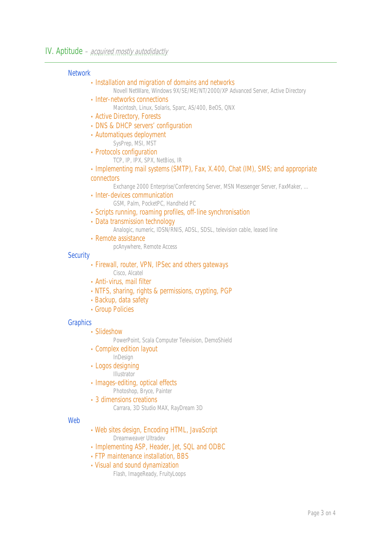#### **Network**

| • Installation and migration of domains and networks                                                           |
|----------------------------------------------------------------------------------------------------------------|
| Novell NetWare, Windows 9X/SE/ME/NT/2000/XP Advanced Server, Active Directory                                  |
| • Inter-networks connections<br>Macintosh, Linux, Solaris, Sparc, AS/400, BeOS, QNX                            |
| • Active Directory, Forests                                                                                    |
| • DNS & DHCP servers' configuration                                                                            |
| • Automatiques deployment                                                                                      |
| SysPrep, MSI, MST                                                                                              |
| • Protocols configuration                                                                                      |
| TCP, IP, IPX, SPX, NetBios, IR                                                                                 |
| • Implementing mail systems (SMTP), Fax, X.400, Chat (IM), SMS; and appropriate                                |
| connectors                                                                                                     |
| Exchange 2000 Enterprise/Conferencing Server, MSN Messenger Server, FaxMaker,<br>• Inter-devices communication |
| GSM, Palm, PocketPC, Handheld PC                                                                               |
| • Scripts running, roaming profiles, off-line synchronisation                                                  |
| • Data transmission technology                                                                                 |
| Analogic, numeric, IDSN/RNIS, ADSL, SDSL, television cable, leased line                                        |
| • Remote assistance                                                                                            |
| pcAnywhere, Remote Access                                                                                      |
| <b>Security</b>                                                                                                |
| • Firewall, router, VPN, IPSec and others gateways                                                             |
| Cisco, Alcatel<br>• Anti-virus, mail filter                                                                    |
| • NTFS, sharing, rights & permissions, crypting, PGP                                                           |
| • Backup, data safety                                                                                          |
| • Group Policies                                                                                               |
|                                                                                                                |
| <b>Graphics</b>                                                                                                |
| • Slideshow                                                                                                    |
| PowerPoint, Scala Computer Television, DemoShield<br>• Complex edition layout                                  |
| InDesign                                                                                                       |
| • Logos designing                                                                                              |
| Illustrator                                                                                                    |
| • Images-editing, optical effects                                                                              |
| Photoshop, Bryce, Painter                                                                                      |
| • 3 dimensions creations                                                                                       |
| Carrara, 3D Studio MAX, RayDream 3D                                                                            |
| Web                                                                                                            |

- Web sites design, Encoding HTML, JavaScript Dreamweaver Ultradev
- Implementing ASP, Header, Jet, SQL and ODBC
- FTP maintenance installation, BBS
- Visual and sound dynamization

Flash, ImageReady, FruityLoops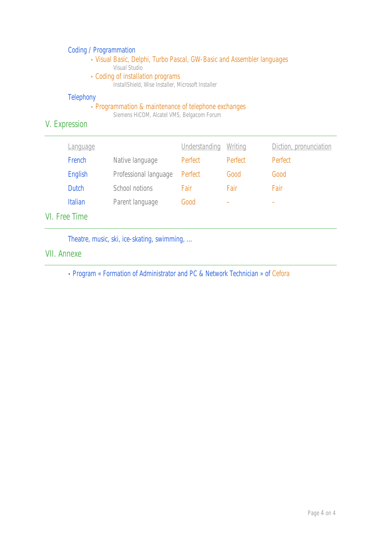#### Coding / Programmation

- Visual Basic, Delphi, Turbo Pascal, GW-Basic and Assembler languages Visual Studio
- Coding of installation programs

InstallShield, Wise Installer, Microsoft Installer

#### **Telephony**

#### • Programmation & maintenance of telephone exchanges

Siemens HiCOM, Alcatel VMS, Belgacom Forum

# V. Expression

| <u>Language</u> |                       | Understanding | <u>Writing</u> | Diction, pronunciation |
|-----------------|-----------------------|---------------|----------------|------------------------|
| French          | Native language       | Perfect       | Perfect        | Perfect                |
| <b>English</b>  | Professional language | Perfect       | Good           | Good                   |
| <b>Dutch</b>    | School notions        | Fair          | Fair           | Fair                   |
| <b>Italian</b>  | Parent language       | Good          | -              |                        |
|                 |                       |               |                |                        |

# VI. Free Time

Theatre, music, ski, ice-skating, swimming, …

#### VII. Annexe

• Program « Formation of Administrator and PC & Network Technician » of Cefora